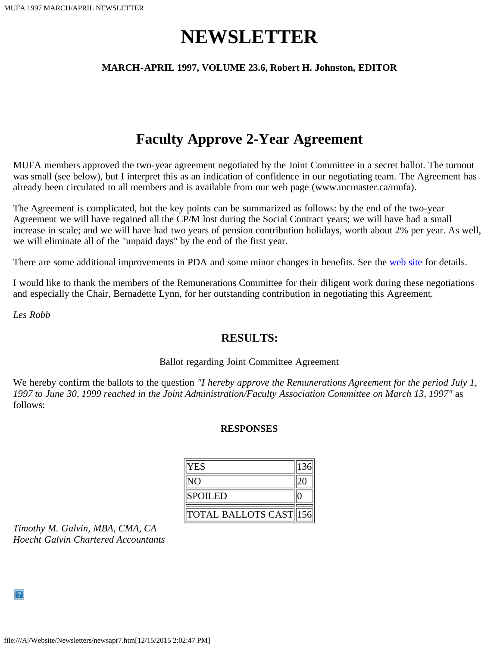# **NEWSLETTER**

#### **MARCH-APRIL 1997, VOLUME 23.6, Robert H. Johnston, EDITOR**

### **Faculty Approve 2-Year Agreement**

MUFA members approved the two-year agreement negotiated by the Joint Committee in a secret ballot. The turnout was small (see below), but I interpret this as an indication of confidence in our negotiating team. The Agreement has already been circulated to all members and is available from our web page (www.mcmaster.ca/mufa).

The Agreement is complicated, but the key points can be summarized as follows: by the end of the two-year Agreement we will have regained all the CP/M lost during the Social Contract years; we will have had a small increase in scale; and we will have had two years of pension contribution holidays, worth about 2% per year. As well, we will eliminate all of the "unpaid days" by the end of the first year.

There are some additional improvements in PDA and some minor changes in benefits. See the [web site f](file:///A|/Website/Newsletters/joint97.htm)or details.

I would like to thank the members of the Remunerations Committee for their diligent work during these negotiations and especially the Chair, Bernadette Lynn, for her outstanding contribution in negotiating this Agreement.

*Les Robb*

### **RESULTS:**

#### Ballot regarding Joint Committee Agreement

We hereby confirm the ballots to the question *"I hereby approve the Remunerations Agreement for the period July 1, 1997 to June 30, 1999 reached in the Joint Administration/Faculty Association Committee on March 13, 1997"* as follows:

#### **RESPONSES**

| <b>YES</b>                                                 | 136 |
|------------------------------------------------------------|-----|
| lΝO                                                        |     |
| <b>SPOILED</b>                                             |     |
| $\parallel$ total ballots cast $\parallel$ 156 $\parallel$ |     |

*Timothy M. Galvin, MBA, CMA, CA Hoecht Galvin Chartered Accountants*

 $\vert$  ?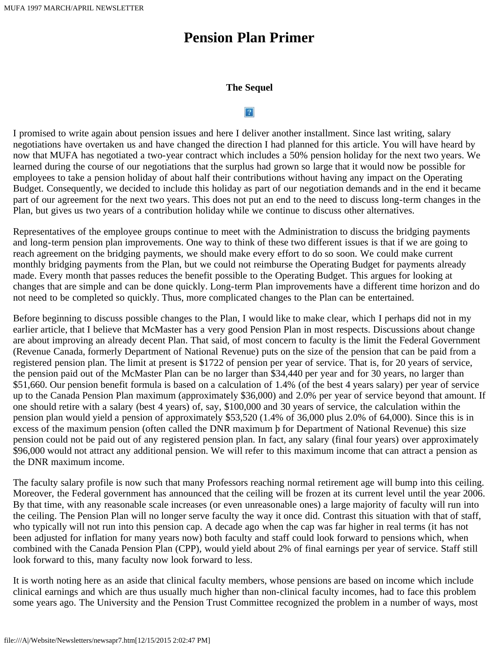## **Pension Plan Primer**

#### **The Sequel**

#### $|2|$

I promised to write again about pension issues and here I deliver another installment. Since last writing, salary negotiations have overtaken us and have changed the direction I had planned for this article. You will have heard by now that MUFA has negotiated a two-year contract which includes a 50% pension holiday for the next two years. We learned during the course of our negotiations that the surplus had grown so large that it would now be possible for employees to take a pension holiday of about half their contributions without having any impact on the Operating Budget. Consequently, we decided to include this holiday as part of our negotiation demands and in the end it became part of our agreement for the next two years. This does not put an end to the need to discuss long-term changes in the Plan, but gives us two years of a contribution holiday while we continue to discuss other alternatives.

Representatives of the employee groups continue to meet with the Administration to discuss the bridging payments and long-term pension plan improvements. One way to think of these two different issues is that if we are going to reach agreement on the bridging payments, we should make every effort to do so soon. We could make current monthly bridging payments from the Plan, but we could not reimburse the Operating Budget for payments already made. Every month that passes reduces the benefit possible to the Operating Budget. This argues for looking at changes that are simple and can be done quickly. Long-term Plan improvements have a different time horizon and do not need to be completed so quickly. Thus, more complicated changes to the Plan can be entertained.

Before beginning to discuss possible changes to the Plan, I would like to make clear, which I perhaps did not in my earlier article, that I believe that McMaster has a very good Pension Plan in most respects. Discussions about change are about improving an already decent Plan. That said, of most concern to faculty is the limit the Federal Government (Revenue Canada, formerly Department of National Revenue) puts on the size of the pension that can be paid from a registered pension plan. The limit at present is \$1722 of pension per year of service. That is, for 20 years of service, the pension paid out of the McMaster Plan can be no larger than \$34,440 per year and for 30 years, no larger than \$51,660. Our pension benefit formula is based on a calculation of 1.4% (of the best 4 years salary) per year of service up to the Canada Pension Plan maximum (approximately \$36,000) and 2.0% per year of service beyond that amount. If one should retire with a salary (best 4 years) of, say, \$100,000 and 30 years of service, the calculation within the pension plan would yield a pension of approximately \$53,520 (1.4% of 36,000 plus 2.0% of 64,000). Since this is in excess of the maximum pension (often called the DNR maximum þ for Department of National Revenue) this size pension could not be paid out of any registered pension plan. In fact, any salary (final four years) over approximately \$96,000 would not attract any additional pension. We will refer to this maximum income that can attract a pension as the DNR maximum income.

The faculty salary profile is now such that many Professors reaching normal retirement age will bump into this ceiling. Moreover, the Federal government has announced that the ceiling will be frozen at its current level until the year 2006. By that time, with any reasonable scale increases (or even unreasonable ones) a large majority of faculty will run into the ceiling. The Pension Plan will no longer serve faculty the way it once did. Contrast this situation with that of staff, who typically will not run into this pension cap. A decade ago when the cap was far higher in real terms (it has not been adjusted for inflation for many years now) both faculty and staff could look forward to pensions which, when combined with the Canada Pension Plan (CPP), would yield about 2% of final earnings per year of service. Staff still look forward to this, many faculty now look forward to less.

It is worth noting here as an aside that clinical faculty members, whose pensions are based on income which include clinical earnings and which are thus usually much higher than non-clinical faculty incomes, had to face this problem some years ago. The University and the Pension Trust Committee recognized the problem in a number of ways, most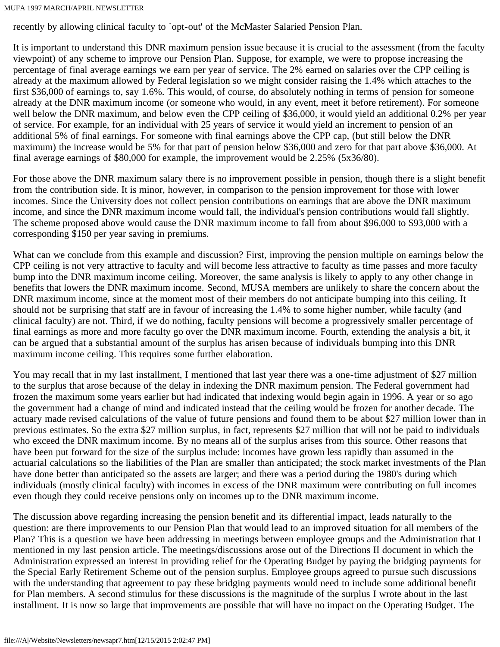recently by allowing clinical faculty to `opt-out' of the McMaster Salaried Pension Plan.

It is important to understand this DNR maximum pension issue because it is crucial to the assessment (from the faculty viewpoint) of any scheme to improve our Pension Plan. Suppose, for example, we were to propose increasing the percentage of final average earnings we earn per year of service. The 2% earned on salaries over the CPP ceiling is already at the maximum allowed by Federal legislation so we might consider raising the 1.4% which attaches to the first \$36,000 of earnings to, say 1.6%. This would, of course, do absolutely nothing in terms of pension for someone already at the DNR maximum income (or someone who would, in any event, meet it before retirement). For someone well below the DNR maximum, and below even the CPP ceiling of \$36,000, it would yield an additional 0.2% per year of service. For example, for an individual with 25 years of service it would yield an increment to pension of an additional 5% of final earnings. For someone with final earnings above the CPP cap, (but still below the DNR maximum) the increase would be 5% for that part of pension below \$36,000 and zero for that part above \$36,000. At final average earnings of \$80,000 for example, the improvement would be 2.25% (5x36/80).

For those above the DNR maximum salary there is no improvement possible in pension, though there is a slight benefit from the contribution side. It is minor, however, in comparison to the pension improvement for those with lower incomes. Since the University does not collect pension contributions on earnings that are above the DNR maximum income, and since the DNR maximum income would fall, the individual's pension contributions would fall slightly. The scheme proposed above would cause the DNR maximum income to fall from about \$96,000 to \$93,000 with a corresponding \$150 per year saving in premiums.

What can we conclude from this example and discussion? First, improving the pension multiple on earnings below the CPP ceiling is not very attractive to faculty and will become less attractive to faculty as time passes and more faculty bump into the DNR maximum income ceiling. Moreover, the same analysis is likely to apply to any other change in benefits that lowers the DNR maximum income. Second, MUSA members are unlikely to share the concern about the DNR maximum income, since at the moment most of their members do not anticipate bumping into this ceiling. It should not be surprising that staff are in favour of increasing the 1.4% to some higher number, while faculty (and clinical faculty) are not. Third, if we do nothing, faculty pensions will become a progressively smaller percentage of final earnings as more and more faculty go over the DNR maximum income. Fourth, extending the analysis a bit, it can be argued that a substantial amount of the surplus has arisen because of individuals bumping into this DNR maximum income ceiling. This requires some further elaboration.

You may recall that in my last installment, I mentioned that last year there was a one-time adjustment of \$27 million to the surplus that arose because of the delay in indexing the DNR maximum pension. The Federal government had frozen the maximum some years earlier but had indicated that indexing would begin again in 1996. A year or so ago the government had a change of mind and indicated instead that the ceiling would be frozen for another decade. The actuary made revised calculations of the value of future pensions and found them to be about \$27 million lower than in previous estimates. So the extra \$27 million surplus, in fact, represents \$27 million that will not be paid to individuals who exceed the DNR maximum income. By no means all of the surplus arises from this source. Other reasons that have been put forward for the size of the surplus include: incomes have grown less rapidly than assumed in the actuarial calculations so the liabilities of the Plan are smaller than anticipated; the stock market investments of the Plan have done better than anticipated so the assets are larger; and there was a period during the 1980's during which individuals (mostly clinical faculty) with incomes in excess of the DNR maximum were contributing on full incomes even though they could receive pensions only on incomes up to the DNR maximum income.

The discussion above regarding increasing the pension benefit and its differential impact, leads naturally to the question: are there improvements to our Pension Plan that would lead to an improved situation for all members of the Plan? This is a question we have been addressing in meetings between employee groups and the Administration that I mentioned in my last pension article. The meetings/discussions arose out of the Directions II document in which the Administration expressed an interest in providing relief for the Operating Budget by paying the bridging payments for the Special Early Retirement Scheme out of the pension surplus. Employee groups agreed to pursue such discussions with the understanding that agreement to pay these bridging payments would need to include some additional benefit for Plan members. A second stimulus for these discussions is the magnitude of the surplus I wrote about in the last installment. It is now so large that improvements are possible that will have no impact on the Operating Budget. The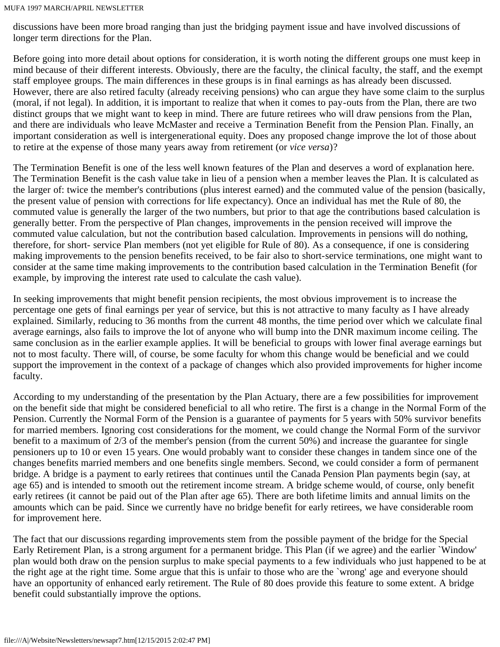discussions have been more broad ranging than just the bridging payment issue and have involved discussions of longer term directions for the Plan.

Before going into more detail about options for consideration, it is worth noting the different groups one must keep in mind because of their different interests. Obviously, there are the faculty, the clinical faculty, the staff, and the exempt staff employee groups. The main differences in these groups is in final earnings as has already been discussed. However, there are also retired faculty (already receiving pensions) who can argue they have some claim to the surplus (moral, if not legal). In addition, it is important to realize that when it comes to pay-outs from the Plan, there are two distinct groups that we might want to keep in mind. There are future retirees who will draw pensions from the Plan, and there are individuals who leave McMaster and receive a Termination Benefit from the Pension Plan. Finally, an important consideration as well is intergenerational equity. Does any proposed change improve the lot of those about to retire at the expense of those many years away from retirement (or *vice versa*)?

The Termination Benefit is one of the less well known features of the Plan and deserves a word of explanation here. The Termination Benefit is the cash value take in lieu of a pension when a member leaves the Plan. It is calculated as the larger of: twice the member's contributions (plus interest earned) and the commuted value of the pension (basically, the present value of pension with corrections for life expectancy). Once an individual has met the Rule of 80, the commuted value is generally the larger of the two numbers, but prior to that age the contributions based calculation is generally better. From the perspective of Plan changes, improvements in the pension received will improve the commuted value calculation, but not the contribution based calculation. Improvements in pensions will do nothing, therefore, for short- service Plan members (not yet eligible for Rule of 80). As a consequence, if one is considering making improvements to the pension benefits received, to be fair also to short-service terminations, one might want to consider at the same time making improvements to the contribution based calculation in the Termination Benefit (for example, by improving the interest rate used to calculate the cash value).

In seeking improvements that might benefit pension recipients, the most obvious improvement is to increase the percentage one gets of final earnings per year of service, but this is not attractive to many faculty as I have already explained. Similarly, reducing to 36 months from the current 48 months, the time period over which we calculate final average earnings, also fails to improve the lot of anyone who will bump into the DNR maximum income ceiling. The same conclusion as in the earlier example applies. It will be beneficial to groups with lower final average earnings but not to most faculty. There will, of course, be some faculty for whom this change would be beneficial and we could support the improvement in the context of a package of changes which also provided improvements for higher income faculty.

According to my understanding of the presentation by the Plan Actuary, there are a few possibilities for improvement on the benefit side that might be considered beneficial to all who retire. The first is a change in the Normal Form of the Pension. Currently the Normal Form of the Pension is a guarantee of payments for 5 years with 50% survivor benefits for married members. Ignoring cost considerations for the moment, we could change the Normal Form of the survivor benefit to a maximum of 2/3 of the member's pension (from the current 50%) and increase the guarantee for single pensioners up to 10 or even 15 years. One would probably want to consider these changes in tandem since one of the changes benefits married members and one benefits single members. Second, we could consider a form of permanent bridge. A bridge is a payment to early retirees that continues until the Canada Pension Plan payments begin (say, at age 65) and is intended to smooth out the retirement income stream. A bridge scheme would, of course, only benefit early retirees (it cannot be paid out of the Plan after age 65). There are both lifetime limits and annual limits on the amounts which can be paid. Since we currently have no bridge benefit for early retirees, we have considerable room for improvement here.

The fact that our discussions regarding improvements stem from the possible payment of the bridge for the Special Early Retirement Plan, is a strong argument for a permanent bridge. This Plan (if we agree) and the earlier `Window' plan would both draw on the pension surplus to make special payments to a few individuals who just happened to be at the right age at the right time. Some argue that this is unfair to those who are the `wrong' age and everyone should have an opportunity of enhanced early retirement. The Rule of 80 does provide this feature to some extent. A bridge benefit could substantially improve the options.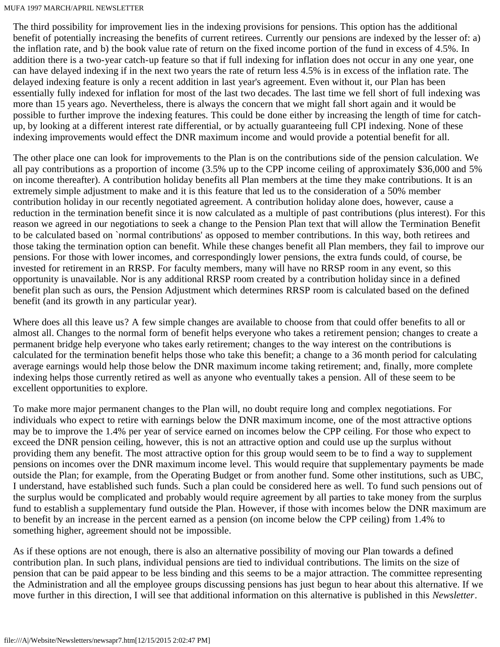The third possibility for improvement lies in the indexing provisions for pensions. This option has the additional benefit of potentially increasing the benefits of current retirees. Currently our pensions are indexed by the lesser of: a) the inflation rate, and b) the book value rate of return on the fixed income portion of the fund in excess of 4.5%. In addition there is a two-year catch-up feature so that if full indexing for inflation does not occur in any one year, one can have delayed indexing if in the next two years the rate of return less 4.5% is in excess of the inflation rate. The delayed indexing feature is only a recent addition in last year's agreement. Even without it, our Plan has been essentially fully indexed for inflation for most of the last two decades. The last time we fell short of full indexing was more than 15 years ago. Nevertheless, there is always the concern that we might fall short again and it would be possible to further improve the indexing features. This could be done either by increasing the length of time for catchup, by looking at a different interest rate differential, or by actually guaranteeing full CPI indexing. None of these indexing improvements would effect the DNR maximum income and would provide a potential benefit for all.

The other place one can look for improvements to the Plan is on the contributions side of the pension calculation. We all pay contributions as a proportion of income (3.5% up to the CPP income ceiling of approximately \$36,000 and 5% on income thereafter). A contribution holiday benefits all Plan members at the time they make contributions. It is an extremely simple adjustment to make and it is this feature that led us to the consideration of a 50% member contribution holiday in our recently negotiated agreement. A contribution holiday alone does, however, cause a reduction in the termination benefit since it is now calculated as a multiple of past contributions (plus interest). For this reason we agreed in our negotiations to seek a change to the Pension Plan text that will allow the Termination Benefit to be calculated based on `normal contributions' as opposed to member contributions. In this way, both retirees and those taking the termination option can benefit. While these changes benefit all Plan members, they fail to improve our pensions. For those with lower incomes, and correspondingly lower pensions, the extra funds could, of course, be invested for retirement in an RRSP. For faculty members, many will have no RRSP room in any event, so this opportunity is unavailable. Nor is any additional RRSP room created by a contribution holiday since in a defined benefit plan such as ours, the Pension Adjustment which determines RRSP room is calculated based on the defined benefit (and its growth in any particular year).

Where does all this leave us? A few simple changes are available to choose from that could offer benefits to all or almost all. Changes to the normal form of benefit helps everyone who takes a retirement pension; changes to create a permanent bridge help everyone who takes early retirement; changes to the way interest on the contributions is calculated for the termination benefit helps those who take this benefit; a change to a 36 month period for calculating average earnings would help those below the DNR maximum income taking retirement; and, finally, more complete indexing helps those currently retired as well as anyone who eventually takes a pension. All of these seem to be excellent opportunities to explore.

To make more major permanent changes to the Plan will, no doubt require long and complex negotiations. For individuals who expect to retire with earnings below the DNR maximum income, one of the most attractive options may be to improve the 1.4% per year of service earned on incomes below the CPP ceiling. For those who expect to exceed the DNR pension ceiling, however, this is not an attractive option and could use up the surplus without providing them any benefit. The most attractive option for this group would seem to be to find a way to supplement pensions on incomes over the DNR maximum income level. This would require that supplementary payments be made outside the Plan; for example, from the Operating Budget or from another fund. Some other institutions, such as UBC, I understand, have established such funds. Such a plan could be considered here as well. To fund such pensions out of the surplus would be complicated and probably would require agreement by all parties to take money from the surplus fund to establish a supplementary fund outside the Plan. However, if those with incomes below the DNR maximum are to benefit by an increase in the percent earned as a pension (on income below the CPP ceiling) from 1.4% to something higher, agreement should not be impossible.

As if these options are not enough, there is also an alternative possibility of moving our Plan towards a defined contribution plan. In such plans, individual pensions are tied to individual contributions. The limits on the size of pension that can be paid appear to be less binding and this seems to be a major attraction. The committee representing the Administration and all the employee groups discussing pensions has just begun to hear about this alternative. If we move further in this direction, I will see that additional information on this alternative is published in this *Newsletter*.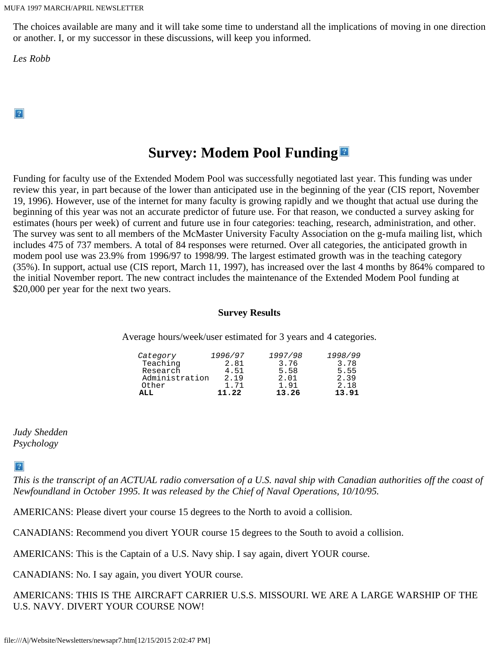The choices available are many and it will take some time to understand all the implications of moving in one direction or another. I, or my successor in these discussions, will keep you informed.

*Les Robb*

 $|2|$ 

## **Survey: Modem Pool Funding**

Funding for faculty use of the Extended Modem Pool was successfully negotiated last year. This funding was under review this year, in part because of the lower than anticipated use in the beginning of the year (CIS report, November 19, 1996). However, use of the internet for many faculty is growing rapidly and we thought that actual use during the beginning of this year was not an accurate predictor of future use. For that reason, we conducted a survey asking for estimates (hours per week) of current and future use in four categories: teaching, research, administration, and other. The survey was sent to all members of the McMaster University Faculty Association on the g-mufa mailing list, which includes 475 of 737 members. A total of 84 responses were returned. Over all categories, the anticipated growth in modem pool use was 23.9% from 1996/97 to 1998/99. The largest estimated growth was in the teaching category (35%). In support, actual use (CIS report, March 11, 1997), has increased over the last 4 months by 864% compared to the initial November report. The new contract includes the maintenance of the Extended Modem Pool funding at \$20,000 per year for the next two years.

#### **Survey Results**

Average hours/week/user estimated for 3 years and 4 categories.

| Category       | 1996/97 | 1997/98 | 1998/99 |
|----------------|---------|---------|---------|
| Teaching       | 2.81    | 3.76    | 3.78    |
| Research       | 4.51    | 5.58    | 5.55    |
| Administration | 2.19    | 2.01    | 2.39    |
| Other          | 1.71    | 1.91    | 2.18    |
| ALL.           | 11.22   | 13.26   | 13.91   |

*Judy Shedden Psychology*

 $\left|2\right\rangle$ 

*This is the transcript of an ACTUAL radio conversation of a U.S. naval ship with Canadian authorities off the coast of Newfoundland in October 1995. It was released by the Chief of Naval Operations, 10/10/95.*

AMERICANS: Please divert your course 15 degrees to the North to avoid a collision.

CANADIANS: Recommend you divert YOUR course 15 degrees to the South to avoid a collision.

AMERICANS: This is the Captain of a U.S. Navy ship. I say again, divert YOUR course.

CANADIANS: No. I say again, you divert YOUR course.

AMERICANS: THIS IS THE AIRCRAFT CARRIER U.S.S. MISSOURI. WE ARE A LARGE WARSHIP OF THE U.S. NAVY. DIVERT YOUR COURSE NOW!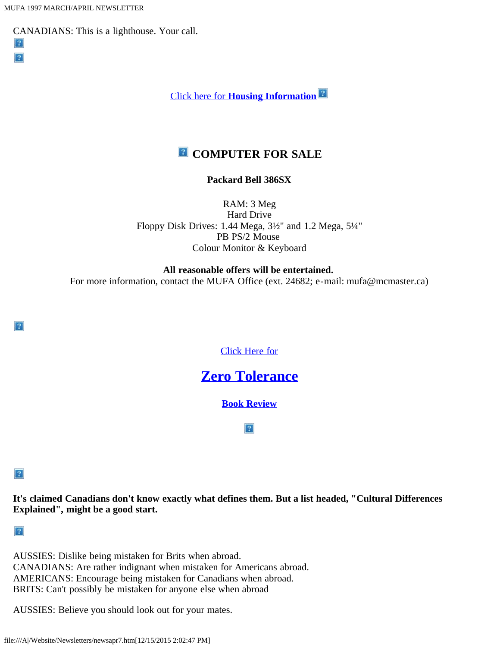$|2|$  $|2|$ 

CANADIANS: This is a lighthouse. Your call.



### **E** COMPUTER FOR SALE

#### **Packard Bell 386SX**

RAM: 3 Meg Hard Drive Floppy Disk Drives: 1.44 Mega, 3½" and 1.2 Mega, 5¼" PB PS/2 Mouse Colour Monitor & Keyboard

**All reasonable offers will be entertained.**

For more information, contact the MUFA Office (ext. 24682; e-mail: mufa@mcmaster.ca)

[Click Here for](file:///A|/Website/Newsletters/bookapr7.htm)

### **[Zero Tolerance](file:///A|/Website/Newsletters/bookapr7.htm)**

**[Book Review](file:///A|/Website/Newsletters/bookapr7.htm)**

 $|2|$ 

 $|2|$ 

 $|2|$ 

**It's claimed Canadians don't know exactly what defines them. But a list headed, "Cultural Differences Explained", might be a good start.**

 $\left|2\right\rangle$ 

AUSSIES: Dislike being mistaken for Brits when abroad. CANADIANS: Are rather indignant when mistaken for Americans abroad. AMERICANS: Encourage being mistaken for Canadians when abroad. BRITS: Can't possibly be mistaken for anyone else when abroad

AUSSIES: Believe you should look out for your mates.